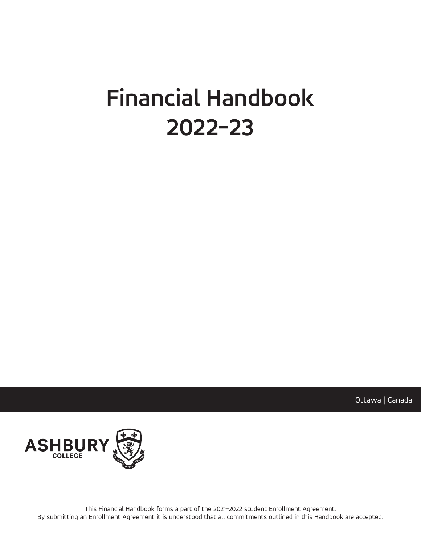# **Financial Handbook 2022-23**

Ottawa | Canada



This Financial Handbook forms a part of the 2021–2022 student Enrollment Agreement. By submitting an Enrollment Agreement it is understood that all commitments outlined in this Handbook are accepted.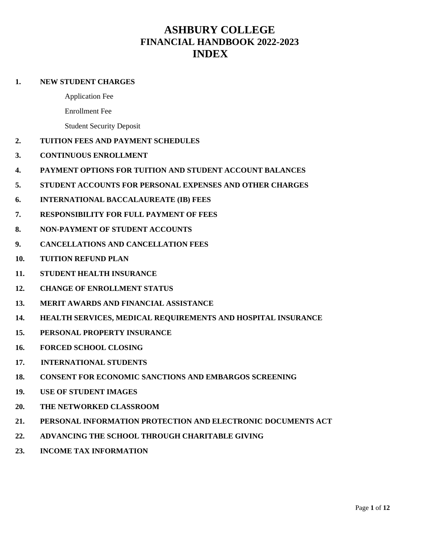## **ASHBURY COLLEGE FINANCIAL HANDBOOK 2022-2023 INDEX**

## **1. NEW STUDENT CHARGES**

- Application Fee
- Enrollment Fee

Student Security Deposit

## **2. TUITION FEES AND PAYMENT SCHEDULES**

- **3. CONTINUOUS ENROLLMENT**
- **4. PAYMENT OPTIONS FOR TUITION AND STUDENT ACCOUNT BALANCES**
- **5. STUDENT ACCOUNTS FOR PERSONAL EXPENSES AND OTHER CHARGES**
- **6. INTERNATIONAL BACCALAUREATE (IB) FEES**
- **7. RESPONSIBILITY FOR FULL PAYMENT OF FEES**
- **8. NON-PAYMENT OF STUDENT ACCOUNTS**
- **9. CANCELLATIONS AND CANCELLATION FEES**
- **10. TUITION REFUND PLAN**
- **11. STUDENT HEALTH INSURANCE**
- **12. CHANGE OF ENROLLMENT STATUS**
- **13. MERIT AWARDS AND FINANCIAL ASSISTANCE**
- **14. HEALTH SERVICES, MEDICAL REQUIREMENTS AND HOSPITAL INSURANCE**
- **15. PERSONAL PROPERTY INSURANCE**
- **16. FORCED SCHOOL CLOSING**
- **17. INTERNATIONAL STUDENTS**
- **18. CONSENT FOR ECONOMIC SANCTIONS AND EMBARGOS SCREENING**
- **19. USE OF STUDENT IMAGES**
- **20. THE NETWORKED CLASSROOM**
- **21. PERSONAL INFORMATION PROTECTION AND ELECTRONIC DOCUMENTS ACT**
- **22. ADVANCING THE SCHOOL THROUGH CHARITABLE GIVING**
- **23. INCOME TAX INFORMATION**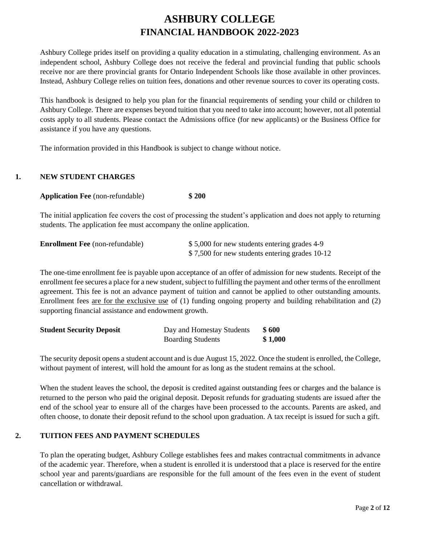# **ASHBURY COLLEGE FINANCIAL HANDBOOK 2022-2023**

Ashbury College prides itself on providing a quality education in a stimulating, challenging environment. As an independent school, Ashbury College does not receive the federal and provincial funding that public schools receive nor are there provincial grants for Ontario Independent Schools like those available in other provinces. Instead, Ashbury College relies on tuition fees, donations and other revenue sources to cover its operating costs.

This handbook is designed to help you plan for the financial requirements of sending your child or children to Ashbury College. There are expenses beyond tuition that you need to take into account; however, not all potential costs apply to all students. Please contact the Admissions office (for new applicants) or the Business Office for assistance if you have any questions.

The information provided in this Handbook is subject to change without notice.

## **1. NEW STUDENT CHARGES**

|  | <b>Application Fee</b> (non-refundable) | \$200 |
|--|-----------------------------------------|-------|
|--|-----------------------------------------|-------|

The initial application fee covers the cost of processing the student's application and does not apply to returning students. The application fee must accompany the online application.

| <b>Enrollment Fee</b> (non-refundable) | \$5,000 for new students entering grades 4-9   |
|----------------------------------------|------------------------------------------------|
|                                        | \$7,500 for new students entering grades 10-12 |

The one-time enrollment fee is payable upon acceptance of an offer of admission for new students. Receipt of the enrollment fee secures a place for a new student, subject to fulfilling the payment and other terms of the enrollment agreement. This fee is not an advance payment of tuition and cannot be applied to other outstanding amounts*.*  Enrollment fees are for the exclusive use of (1) funding ongoing property and building rehabilitation and (2) supporting financial assistance and endowment growth.

| <b>Student Security Deposit</b> | Day and Homestay Students | \$ 600  |
|---------------------------------|---------------------------|---------|
|                                 | <b>Boarding Students</b>  | \$1,000 |

The security deposit opens a student account and is due August 15, 2022. Once the student is enrolled, the College, without payment of interest, will hold the amount for as long as the student remains at the school.

When the student leaves the school, the deposit is credited against outstanding fees or charges and the balance is returned to the person who paid the original deposit. Deposit refunds for graduating students are issued after the end of the school year to ensure all of the charges have been processed to the accounts. Parents are asked, and often choose, to donate their deposit refund to the school upon graduation. A tax receipt is issued for such a gift.

## **2. TUITION FEES AND PAYMENT SCHEDULES**

To plan the operating budget, Ashbury College establishes fees and makes contractual commitments in advance of the academic year. Therefore, when a student is enrolled it is understood that a place is reserved for the entire school year and parents/guardians are responsible for the full amount of the fees even in the event of student cancellation or withdrawal.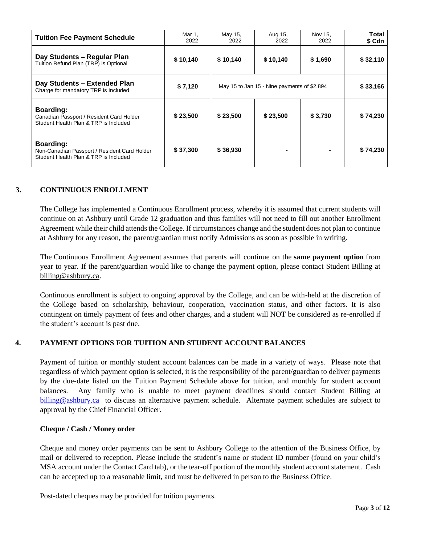| <b>Tuition Fee Payment Schedule</b>                                                                   | Mar 1,<br>2022 | May 15,<br>2022                             | Aug 15,<br>2022 | Nov 15,<br>2022 | Total<br>\$ Cdn |
|-------------------------------------------------------------------------------------------------------|----------------|---------------------------------------------|-----------------|-----------------|-----------------|
| Day Students - Regular Plan<br>Tuition Refund Plan (TRP) is Optional                                  | \$10,140       | \$10,140                                    | \$10,140        | \$1,690         | \$32,110        |
| Day Students - Extended Plan<br>Charge for mandatory TRP is Included                                  | \$7,120        | May 15 to Jan 15 - Nine payments of \$2,894 |                 | \$33,166        |                 |
| <b>Boarding:</b><br>Canadian Passport / Resident Card Holder<br>Student Health Plan & TRP is Included | \$23,500       | \$23,500                                    | \$23,500        | \$3,730         | \$74,230        |
| Boarding:<br>Non-Canadian Passport / Resident Card Holder<br>Student Health Plan & TRP is Included    | \$37,300       | \$36,930                                    |                 |                 | \$74,230        |

## **3. CONTINUOUS ENROLLMENT**

The College has implemented a Continuous Enrollment process, whereby it is assumed that current students will continue on at Ashbury until Grade 12 graduation and thus families will not need to fill out another Enrollment Agreement while their child attends the College. If circumstances change and the student does not plan to continue at Ashbury for any reason, the parent/guardian must notify Admissions as soon as possible in writing.

The Continuous Enrollment Agreement assumes that parents will continue on the **same payment option** from year to year. If the parent/guardian would like to change the payment option, please contact Student Billing at [billing@ashbury.ca.](mailto:billing@ashbury.ca)

Continuous enrollment is subject to ongoing approval by the College, and can be with-held at the discretion of the College based on scholarship, behaviour, cooperation, vaccination status, and other factors. It is also contingent on timely payment of fees and other charges, and a student will NOT be considered as re-enrolled if the student's account is past due.

## **4. PAYMENT OPTIONS FOR TUITION AND STUDENT ACCOUNT BALANCES**

Payment of tuition or monthly student account balances can be made in a variety of ways. Please note that regardless of which payment option is selected, it is the responsibility of the parent/guardian to deliver payments by the due-date listed on the Tuition Payment Schedule above for tuition, and monthly for student account balances. Any family who is unable to meet payment deadlines should contact Student Billing at [billing@ashbury.ca](mailto:billing@ashbury.ca) to discuss an alternative payment schedule. Alternate payment schedules are subject to approval by the Chief Financial Officer.

## **Cheque / Cash / Money order**

Cheque and money order payments can be sent to Ashbury College to the attention of the Business Office, by mail or delivered to reception. Please include the student's name or student ID number (found on your child's MSA account under the Contact Card tab), or the tear-off portion of the monthly student account statement. Cash can be accepted up to a reasonable limit, and must be delivered in person to the Business Office.

Post-dated cheques may be provided for tuition payments.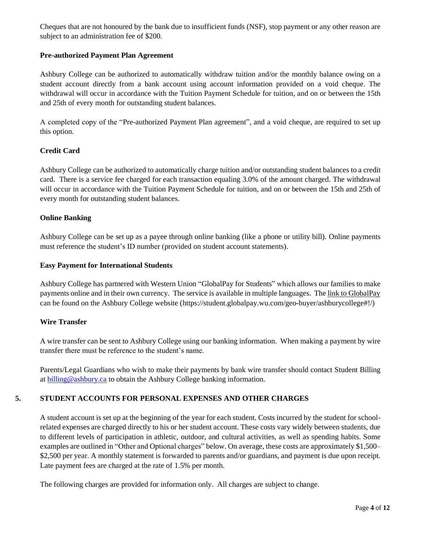Cheques that are not honoured by the bank due to insufficient funds (NSF), stop payment or any other reason are subject to an administration fee of \$200.

## **Pre-authorized Payment Plan Agreement**

Ashbury College can be authorized to automatically withdraw tuition and/or the monthly balance owing on a student account directly from a bank account using account information provided on a void cheque. The withdrawal will occur in accordance with the Tuition Payment Schedule for tuition, and on or between the 15th and 25th of every month for outstanding student balances.

A completed copy of the "Pre-authorized Payment Plan agreement", and a void cheque, are required to set up this option.

## **Credit Card**

Ashbury College can be authorized to automatically charge tuition and/or outstanding student balances to a credit card. There is a service fee charged for each transaction equaling 3.0% of the amount charged. The withdrawal will occur in accordance with the Tuition Payment Schedule for tuition, and on or between the 15th and 25th of every month for outstanding student balances.

## **Online Banking**

Ashbury College can be set up as a payee through online banking (like a phone or utility bill). Online payments must reference the student's ID number (provided on student account statements).

#### **Easy Payment for International Students**

Ashbury College has partnered with Western Union "GlobalPay for Students" which allows our families to make payments online and in their own currency. The service is available in multiple languages. Th[e link to GlobalPay](https://student.globalpay.wu.com/geo-buyer/ashburycollege#!/) can be found on the Ashbury College website (https://student.globalpay.wu.com/geo-buyer/ashburycollege#!/)

## **Wire Transfer**

A wire transfer can be sent to Ashbury College using our banking information. When making a payment by wire transfer there must be reference to the student's name.

Parents/Legal Guardians who wish to make their payments by bank wire transfer should contact Student Billing at [billing@ashbury.ca](mailto:billing@ashbury.ca) to obtain the Ashbury College banking information.

## **5. STUDENT ACCOUNTS FOR PERSONAL EXPENSES AND OTHER CHARGES**

A student account is set up at the beginning of the year for each student. Costs incurred by the student for schoolrelated expenses are charged directly to his or her student account. These costs vary widely between students, due to different levels of participation in athletic, outdoor, and cultural activities, as well as spending habits. Some examples are outlined in "Other and Optional charges" below. On average, these costs are approximately \$1,500– \$2,500 per year. A monthly statement is forwarded to parents and/or guardians, and payment is due upon receipt. Late payment fees are charged at the rate of 1.5% per month.

The following charges are provided for information only. All charges are subject to change.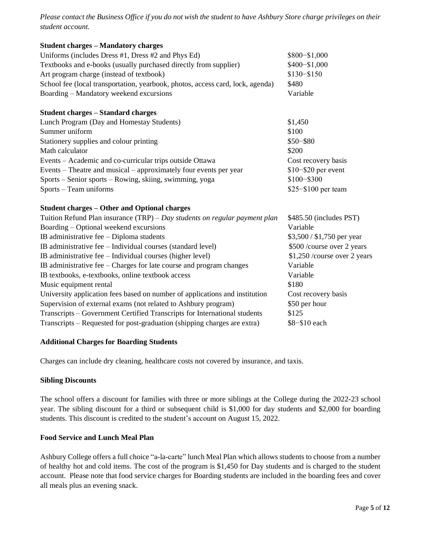*Please contact the Business Office if you do not wish the student to have Ashbury Store charge privileges on their student account.* 

| <b>Student charges - Mandatory charges</b>                                     |                               |
|--------------------------------------------------------------------------------|-------------------------------|
| Uniforms (includes Dress #1, Dress #2 and Phys Ed)                             | \$800-\$1,000                 |
| Textbooks and e-books (usually purchased directly from supplier)               | $$400 - $1,000$               |
| Art program charge (instead of textbook)                                       | $$130 - $150$                 |
| School fee (local transportation, yearbook, photos, access card, lock, agenda) | \$480                         |
| Boarding – Mandatory weekend excursions                                        | Variable                      |
| <b>Student charges – Standard charges</b>                                      |                               |
| Lunch Program (Day and Homestay Students)                                      | \$1,450                       |
| Summer uniform                                                                 | \$100                         |
| Stationery supplies and colour printing                                        | $$50 - $80$                   |
| Math calculator                                                                | \$200                         |
| Events – Academic and co-curricular trips outside Ottawa                       | Cost recovery basis           |
| Events – Theatre and musical – approximately four events per year              | $$10 - $20$ per event         |
| Sports - Senior sports - Rowing, skiing, swimming, yoga                        | \$100-\$300                   |
| Sports - Team uniforms                                                         | $$25 - $100$ per team         |
| <b>Student charges – Other and Optional charges</b>                            |                               |
| Tuition Refund Plan insurance $(TRP) - Day$ students on regular payment plan   | \$485.50 (includes PST)       |
| Boarding – Optional weekend excursions                                         | Variable                      |
| IB administrative fee $-$ Diploma students                                     | \$3,500 / \$1,750 per year    |
| IB administrative fee – Individual courses (standard level)                    | \$500 /course over 2 years    |
| IB administrative fee – Individual courses (higher level)                      | \$1,250 / course over 2 years |
| IB administrative fee $-$ Charges for late course and program changes          | Variable                      |
| IB textbooks, e-textbooks, online textbook access                              | Variable                      |
| Music equipment rental                                                         | \$180                         |
| University application fees based on number of applications and institution    | Cost recovery basis           |
| Supervision of external exams (not related to Ashbury program)                 | \$50 per hour                 |
| Transcripts – Government Certified Transcripts for International students      | \$125                         |

Transcripts – Requested for post-graduation (shipping charges are extra) \$8−\$10 each

## **Additional Charges for Boarding Students**

Charges can include dry cleaning, healthcare costs not covered by insurance, and taxis.

## **Sibling Discounts**

The school offers a discount for families with three or more siblings at the College during the 2022-23 school year. The sibling discount for a third or subsequent child is \$1,000 for day students and \$2,000 for boarding students. This discount is credited to the student's account on August 15, 2022.

## **Food Service and Lunch Meal Plan**

Ashbury College offers a full choice "a-la-carte" lunch Meal Plan which allows students to choose from a number of healthy hot and cold items. The cost of the program is \$1,450 for Day students and is charged to the student account. Please note that food service charges for Boarding students are included in the boarding fees and cover all meals plus an evening snack.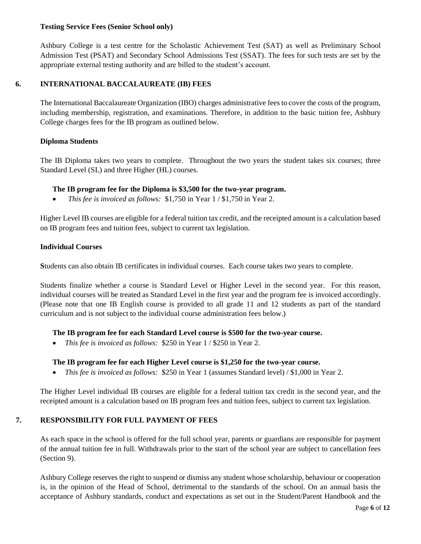## **Testing Service Fees (Senior School only)**

Ashbury College is a test centre for the Scholastic Achievement Test (SAT) as well as Preliminary School Admission Test (PSAT) and Secondary School Admissions Test (SSAT). The fees for such tests are set by the appropriate external testing authority and are billed to the student's account.

## **6. INTERNATIONAL BACCALAUREATE (IB) FEES**

The International Baccalaureate Organization (IBO) charges administrative fees to cover the costs of the program, including membership, registration, and examinations. Therefore, in addition to the basic tuition fee, Ashbury College charges fees for the IB program as outlined below.

## **Diploma Students**

The IB Diploma takes two years to complete. Throughout the two years the student takes six courses; three Standard Level (SL) and three Higher (HL) courses.

## **The IB program fee for the Diploma is \$3,500 for the two-year program.**

• *This fee is invoiced as follows:* \$1,750 in Year 1 / \$1,750 in Year 2.

Higher Level IB courses are eligible for a federal tuition tax credit, and the receipted amount is a calculation based on IB program fees and tuition fees, subject to current tax legislation.

#### **Individual Courses**

**S**tudents can also obtain IB certificates in individual courses. Each course takes two years to complete.

Students finalize whether a course is Standard Level or Higher Level in the second year. For this reason, individual courses will be treated as Standard Level in the first year and the program fee is invoiced accordingly. (Please note that one IB English course is provided to all grade 11 and 12 students as part of the standard curriculum and is not subject to the individual course administration fees below.)

## **The IB program fee for each Standard Level course is \$500 for the two-year course.**

• *This fee is invoiced as follows:* \$250 in Year 1 / \$250 in Year 2.

## **The IB program fee for each Higher Level course is \$1,250 for the two-year course.**

• *This fee is invoiced as follows:* \$250 in Year 1 (assumes Standard level) / \$1,000 in Year 2.

The Higher Level individual IB courses are eligible for a federal tuition tax credit in the second year, and the receipted amount is a calculation based on IB program fees and tuition fees, subject to current tax legislation.

## **7. RESPONSIBILITY FOR FULL PAYMENT OF FEES**

As each space in the school is offered for the full school year, parents or guardians are responsible for payment of the annual tuition fee in full. Withdrawals prior to the start of the school year are subject to cancellation fees (Section 9).

Ashbury College reserves the right to suspend or dismiss any student whose scholarship, behaviour or cooperation is, in the opinion of the Head of School, detrimental to the standards of the school. On an annual basis the acceptance of Ashbury standards, conduct and expectations as set out in the Student/Parent Handbook and the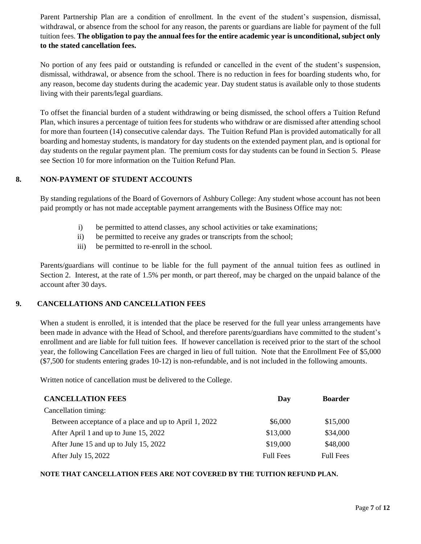Parent Partnership Plan are a condition of enrollment. In the event of the student's suspension, dismissal, withdrawal, or absence from the school for any reason, the parents or guardians are liable for payment of the full tuition fees. **The obligation to pay the annual fees for the entire academic year is unconditional, subject only to the stated cancellation fees.**

No portion of any fees paid or outstanding is refunded or cancelled in the event of the student's suspension, dismissal, withdrawal, or absence from the school. There is no reduction in fees for boarding students who, for any reason, become day students during the academic year. Day student status is available only to those students living with their parents/legal guardians.

To offset the financial burden of a student withdrawing or being dismissed, the school offers a Tuition Refund Plan, which insures a percentage of tuition fees for students who withdraw or are dismissed after attending school for more than fourteen (14) consecutive calendar days. The Tuition Refund Plan is provided automatically for all boarding and homestay students, is mandatory for day students on the extended payment plan, and is optional for day students on the regular payment plan. The premium costs for day students can be found in Section 5. Please see Section 10 for more information on the Tuition Refund Plan.

## **8. NON-PAYMENT OF STUDENT ACCOUNTS**

By standing regulations of the Board of Governors of Ashbury College: Any student whose account has not been paid promptly or has not made acceptable payment arrangements with the Business Office may not:

- i) be permitted to attend classes, any school activities or take examinations;
- ii) be permitted to receive any grades or transcripts from the school;
- iii) be permitted to re-enroll in the school.

Parents/guardians will continue to be liable for the full payment of the annual tuition fees as outlined in Section 2. Interest, at the rate of 1.5% per month, or part thereof, may be charged on the unpaid balance of the account after 30 days.

## **9. CANCELLATIONS AND CANCELLATION FEES**

When a student is enrolled, it is intended that the place be reserved for the full year unless arrangements have been made in advance with the Head of School, and therefore parents/guardians have committed to the student's enrollment and are liable for full tuition fees. If however cancellation is received prior to the start of the school year, the following Cancellation Fees are charged in lieu of full tuition. Note that the Enrollment Fee of \$5,000 (\$7,500 for students entering grades 10-12) is non-refundable, and is not included in the following amounts.

Written notice of cancellation must be delivered to the College.

| <b>CANCELLATION FEES</b>                              | Day              | <b>Boarder</b>   |
|-------------------------------------------------------|------------------|------------------|
| Cancellation timing:                                  |                  |                  |
| Between acceptance of a place and up to April 1, 2022 | \$6,000          | \$15,000         |
| After April 1 and up to June 15, 2022                 | \$13,000         | \$34,000         |
| After June 15 and up to July 15, 2022                 | \$19,000         | \$48,000         |
| After July 15, 2022                                   | <b>Full Fees</b> | <b>Full Fees</b> |

## **NOTE THAT CANCELLATION FEES ARE NOT COVERED BY THE TUITION REFUND PLAN.**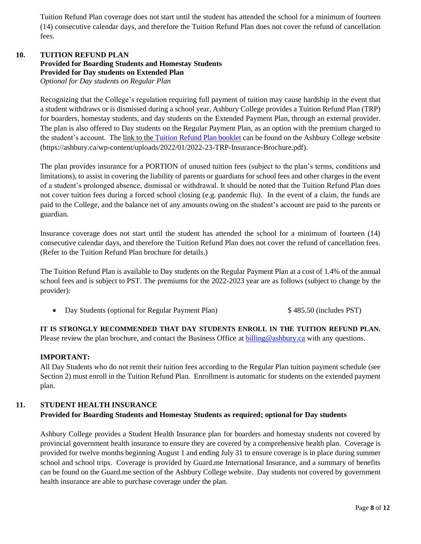Tuition Refund Plan coverage does not start until the student has attended the school for a minimum of fourteen (14) consecutive calendar days, and therefore the Tuition Refund Plan does not cover the refund of cancellation fees.

#### **10. TUITION REFUND PLAN Provided for Boarding Students and Homestay Students Provided for Day students on Extended Plan**  *Optional for Day students on Regular Plan*

Recognizing that the College's regulation requiring full payment of tuition may cause hardship in the event that a student withdraws or is dismissed during a school year, Ashbury College provides a Tuition Refund Plan (TRP) for boarders, homestay students, and day students on the Extended Payment Plan, through an external provider. The plan is also offered to Day students on the Regular Payment Plan, as an option with the premium charged to the student's account. The [link to the](https://student.globalpay.wu.com/geo-buyer/ashburycollege#!/) [Tuition Refund Plan booklet](https://ashbury.ca/wp-content/uploads/2022/01/2022-23-TRP-Insurance-Brochure.pdf) can be found on the Ashbury College website (https://ashbury.ca/wp-content/uploads/2022/01/2022-23-TRP-Insurance-Brochure.pdf).

The plan provides insurance for a PORTION of unused tuition fees (subject to the plan's terms, conditions and limitations), to assist in covering the liability of parents or guardians for school fees and other charges in the event of a student's prolonged absence, dismissal or withdrawal. It should be noted that the Tuition Refund Plan does not cover tuition fees during a forced school closing (e.g. pandemic flu). In the event of a claim, the funds are paid to the College, and the balance net of any amounts owing on the student's account are paid to the parents or guardian.

Insurance coverage does not start until the student has attended the school for a minimum of fourteen (14) consecutive calendar days, and therefore the Tuition Refund Plan does not cover the refund of cancellation fees. (Refer to the Tuition Refund Plan brochure for details.)

The Tuition Refund Plan is available to Day students on the Regular Payment Plan at a cost of 1.4% of the annual school fees and is subject to PST. The premiums for the 2022-2023 year are as follows (subject to change by the provider):

• Day Students (optional for Regular Payment Plan)  $$485.50$  (includes PST)

**IT IS STRONGLY RECOMMENDED THAT DAY STUDENTS ENROLL IN THE TUITION REFUND PLAN.**  Please review the plan brochure, and contact the Business Office at  $\frac{b_1}{b_2}$  ashbury.ca with any questions.

## **IMPORTANT:**

All Day Students who do not remit their tuition fees according to the Regular Plan tuition payment schedule (see Section 2) must enroll in the Tuition Refund Plan.Enrollment is automatic for students on the extended payment plan.

## **11. STUDENT HEALTH INSURANCE Provided for Boarding Students and Homestay Students as required; optional for Day students**

Ashbury College provides a Student Health Insurance plan for boarders and homestay students not covered by provincial government health insurance to ensure they are covered by a comprehensive health plan. Coverage is provided for twelve months beginning August 1 and ending July 31 to ensure coverage is in place during summer school and school trips. Coverage is provided by Guard.me International Insurance, and a summary of benefits can be found on the Guard.me section of the Ashbury College website. Day students not covered by government health insurance are able to purchase coverage under the plan.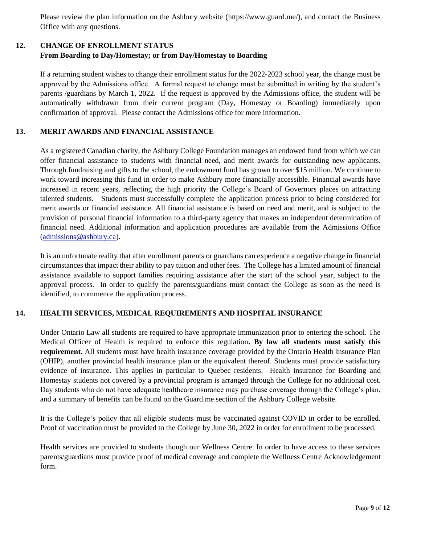Please review the plan information on the Ashbury website (https://www.guard.me/), and contact the Business Office with any questions.

## **12. CHANGE OF ENROLLMENT STATUS From Boarding to Day/Homestay; or from Day/Homestay to Boarding**

If a returning student wishes to change their enrollment status for the 2022-2023 school year, the change must be approved by the Admissions office. A formal request to change must be submitted in writing by the student's parents /guardians by March 1, 2022. If the request is approved by the Admissions office, the student will be automatically withdrawn from their current program (Day, Homestay or Boarding) immediately upon confirmation of approval. Please contact the Admissions office for more information.

## **13. MERIT AWARDS AND FINANCIAL ASSISTANCE**

As a registered Canadian charity, the Ashbury College Foundation manages an endowed fund from which we can offer financial assistance to students with financial need, and merit awards for outstanding new applicants. Through fundraising and gifts to the school, the endowment fund has grown to over \$15 million. We continue to work toward increasing this fund in order to make Ashbury more financially accessible. Financial awards have increased in recent years, reflecting the high priority the College's Board of Governors places on attracting talented students. Students must successfully complete the application process prior to being considered for merit awards or financial assistance. All financial assistance is based on need and merit, and is subject to the provision of personal financial information to a third-party agency that makes an independent determination of financial need. Additional information and application procedures are available from the Admissions Office [\(admissions@ashbury.ca\)](mailto:admissions@ashbury.ca).

It is an unfortunate reality that after enrollment parents or guardians can experience a negative change in financial circumstances that impact their ability to pay tuition and other fees. The College has a limited amount of financial assistance available to support families requiring assistance after the start of the school year, subject to the approval process. In order to qualify the parents/guardians must contact the College as soon as the need is identified, to commence the application process.

## **14. HEALTH SERVICES, MEDICAL REQUIREMENTS AND HOSPITAL INSURANCE**

Under Ontario Law all students are required to have appropriate immunization prior to entering the school. The Medical Officer of Health is required to enforce this regulation**. By law all students must satisfy this requirement.** All students must have health insurance coverage provided by the Ontario Health Insurance Plan (OHIP), another provincial health insurance plan or the equivalent thereof. Students must provide satisfactory evidence of insurance. This applies in particular to Quebec residents. Health insurance for Boarding and Homestay students not covered by a provincial program is arranged through the College for no additional cost. Day students who do not have adequate healthcare insurance may purchase coverage through the College's plan, and a summary of benefits can be found on the Guard.me section of the Ashbury College website.

It is the College's policy that all eligible students must be vaccinated against COVID in order to be enrolled. Proof of vaccination must be provided to the College by June 30, 2022 in order for enrollment to be processed.

Health services are provided to students though our Wellness Centre. In order to have access to these services parents/guardians must provide proof of medical coverage and complete the Wellness Centre Acknowledgement form.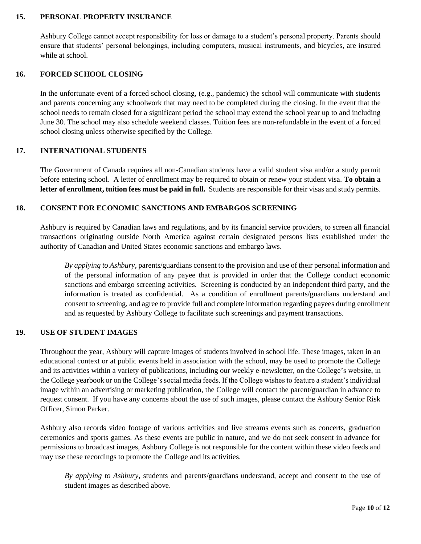## **15. PERSONAL PROPERTY INSURANCE**

Ashbury College cannot accept responsibility for loss or damage to a student's personal property. Parents should ensure that students' personal belongings, including computers, musical instruments, and bicycles, are insured while at school.

## **16. FORCED SCHOOL CLOSING**

In the unfortunate event of a forced school closing, (e.g., pandemic) the school will communicate with students and parents concerning any schoolwork that may need to be completed during the closing. In the event that the school needs to remain closed for a significant period the school may extend the school year up to and including June 30. The school may also schedule weekend classes. Tuition fees are non-refundable in the event of a forced school closing unless otherwise specified by the College.

#### **17. INTERNATIONAL STUDENTS**

The Government of Canada requires all non-Canadian students have a valid student visa and/or a study permit before entering school. A letter of enrollment may be required to obtain or renew your student visa. **To obtain a letter of enrollment, tuition fees must be paid in full.** Students are responsible for their visas and study permits.

#### **18. CONSENT FOR ECONOMIC SANCTIONS AND EMBARGOS SCREENING**

Ashbury is required by Canadian laws and regulations, and by its financial service providers, to screen all financial transactions originating outside North America against certain designated persons lists established under the authority of Canadian and United States economic sanctions and embargo laws.

*By applying to Ashbury*, parents/guardians consent to the provision and use of their personal information and of the personal information of any payee that is provided in order that the College conduct economic sanctions and embargo screening activities. Screening is conducted by an independent third party, and the information is treated as confidential. As a condition of enrollment parents/guardians understand and consent to screening, and agree to provide full and complete information regarding payees during enrollment and as requested by Ashbury College to facilitate such screenings and payment transactions.

## **19. USE OF STUDENT IMAGES**

Throughout the year, Ashbury will capture images of students involved in school life. These images, taken in an educational context or at public events held in association with the school, may be used to promote the College and its activities within a variety of publications, including our weekly e-newsletter, on the College's website, in the College yearbook or on the College's social media feeds. If the College wishes to feature a student's individual image within an advertising or marketing publication, the College will contact the parent/guardian in advance to request consent. If you have any concerns about the use of such images, please contact the Ashbury Senior Risk Officer, Simon Parker.

Ashbury also records video footage of various activities and live streams events such as concerts, graduation ceremonies and sports games. As these events are public in nature, and we do not seek consent in advance for permissions to broadcast images, Ashbury College is not responsible for the content within these video feeds and may use these recordings to promote the College and its activities.

*By applying to Ashbury*, students and parents/guardians understand, accept and consent to the use of student images as described above.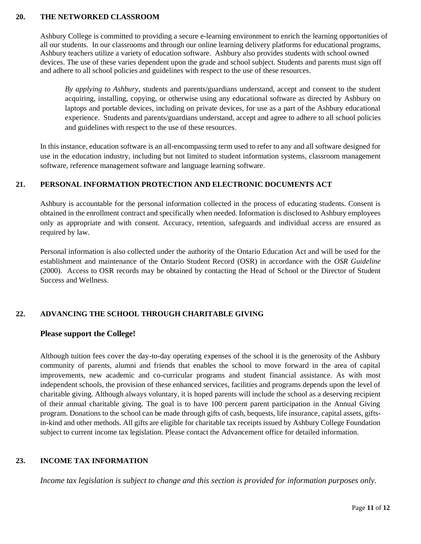## **20. THE NETWORKED CLASSROOM**

Ashbury College is committed to providing a secure e-learning environment to enrich the learning opportunities of all our students. In our classrooms and through our online learning delivery platforms for educational programs, Ashbury teachers utilize a variety of education software. Ashbury also provides students with school owned devices. The use of these varies dependent upon the grade and school subject. Students and parents must sign off and adhere to all school policies and guidelines with respect to the use of these resources.

*By applying to Ashbury*, students and parents/guardians understand, accept and consent to the student acquiring, installing, copying, or otherwise using any educational software as directed by Ashbury on laptops and portable devices, including on private devices, for use as a part of the Ashbury educational experience. Students and parents/guardians understand, accept and agree to adhere to all school policies and guidelines with respect to the use of these resources.

In this instance, education software is an all-encompassing term used to refer to any and all software designed for use in the education industry, including but not limited to student information systems, classroom management software, reference management software and language learning software.

## **21. PERSONAL INFORMATION PROTECTION AND ELECTRONIC DOCUMENTS ACT**

Ashbury is accountable for the personal information collected in the process of educating students. Consent is obtained in the enrollment contract and specifically when needed. Information is disclosed to Ashbury employees only as appropriate and with consent. Accuracy, retention, safeguards and individual access are ensured as required by law.

Personal information is also collected under the authority of the Ontario Education Act and will be used for the establishment and maintenance of the Ontario Student Record (OSR) in accordance with the *OSR Guideline* (2000). Access to OSR records may be obtained by contacting the Head of School or the Director of Student Success and Wellness.

## **22. ADVANCING THE SCHOOL THROUGH CHARITABLE GIVING**

#### **Please support the College!**

Although tuition fees cover the day-to-day operating expenses of the school it is the generosity of the Ashbury community of parents, alumni and friends that enables the school to move forward in the area of capital improvements, new academic and co-curricular programs and student financial assistance. As with most independent schools, the provision of these enhanced services, facilities and programs depends upon the level of charitable giving. Although always voluntary, it is hoped parents will include the school as a deserving recipient of their annual charitable giving. The goal is to have 100 percent parent participation in the Annual Giving program. Donations to the school can be made through gifts of cash, bequests, life insurance, capital assets, giftsin-kind and other methods. All gifts are eligible for charitable tax receipts issued by Ashbury College Foundation subject to current income tax legislation. Please contact the Advancement office for detailed information.

## **23. INCOME TAX INFORMATION**

*Income tax legislation is subject to change and this section is provided for information purposes only.*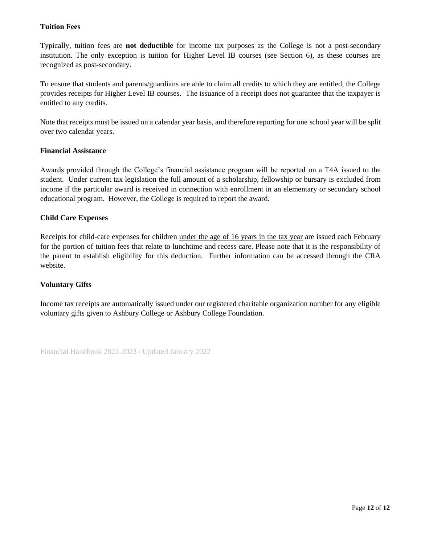## **Tuition Fees**

Typically, tuition fees are **not deductible** for income tax purposes as the College is not a post-secondary institution. The only exception is tuition for Higher Level IB courses (see Section 6), as these courses are recognized as post-secondary.

To ensure that students and parents/guardians are able to claim all credits to which they are entitled, the College provides receipts for Higher Level IB courses. The issuance of a receipt does not guarantee that the taxpayer is entitled to any credits.

Note that receipts must be issued on a calendar year basis, and therefore reporting for one school year will be split over two calendar years.

#### **Financial Assistance**

Awards provided through the College's financial assistance program will be reported on a T4A issued to the student. Under current tax legislation the full amount of a scholarship, fellowship or bursary is excluded from income if the particular award is received in connection with enrollment in an elementary or secondary school educational program. However, the College is required to report the award.

## **Child Care Expenses**

Receipts for child-care expenses for children under the age of 16 years in the tax year are issued each February for the portion of tuition fees that relate to lunchtime and recess care. Please note that it is the responsibility of the parent to establish eligibility for this deduction. Further information can be accessed through the CRA website.

## **Voluntary Gifts**

Income tax receipts are automatically issued under our registered charitable organization number for any eligible voluntary gifts given to Ashbury College or Ashbury College Foundation.

Financial Handbook 2022-2023 / Updated January 2022